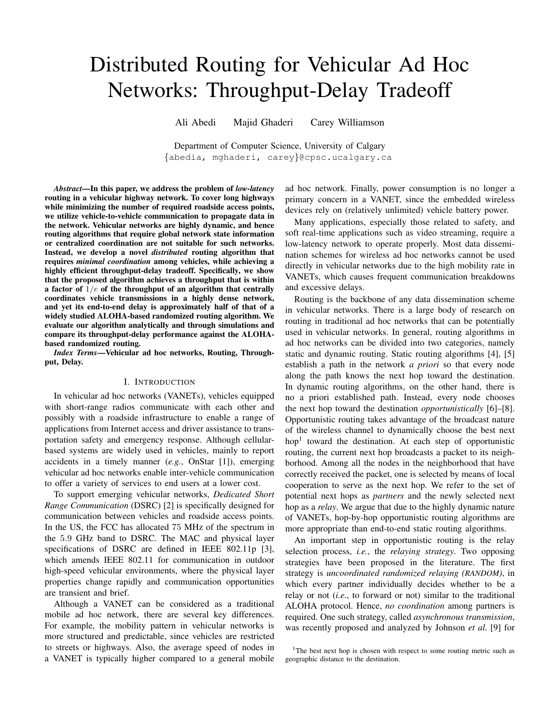# Distributed Routing for Vehicular Ad Hoc Networks: Throughput-Delay Tradeoff

Ali Abedi Majid Ghaderi Carey Williamson

Department of Computer Science, University of Calgary {abedia, mghaderi, carey}@cpsc.ucalgary.ca

*Abstract*—In this paper, we address the problem of *low-latency* routing in a vehicular highway network. To cover long highways while minimizing the number of required roadside access points, we utilize vehicle-to-vehicle communication to propagate data in the network. Vehicular networks are highly dynamic, and hence routing algorithms that require global network state information or centralized coordination are not suitable for such networks. Instead, we develop a novel *distributed* routing algorithm that requires *minimal coordination* among vehicles, while achieving a highly efficient throughput-delay tradeoff. Specifically, we show that the proposed algorithm achieves a throughput that is within a factor of  $1/e$  of the throughput of an algorithm that centrally coordinates vehicle transmissions in a highly dense network, and yet its end-to-end delay is approximately half of that of a widely studied ALOHA-based randomized routing algorithm. We evaluate our algorithm analytically and through simulations and compare its throughput-delay performance against the ALOHAbased randomized routing.

*Index Terms*—Vehicular ad hoc networks, Routing, Throughput, Delay.

#### I. INTRODUCTION

In vehicular ad hoc networks (VANETs), vehicles equipped with short-range radios communicate with each other and possibly with a roadside infrastructure to enable a range of applications from Internet access and driver assistance to transportation safety and emergency response. Although cellularbased systems are widely used in vehicles, mainly to report accidents in a timely manner (*e.g.*, OnStar [1]), emerging vehicular ad hoc networks enable inter-vehicle communication to offer a variety of services to end users at a lower cost.

To support emerging vehicular networks, *Dedicated Short Range Communication* (DSRC) [2] is specifically designed for communication between vehicles and roadside access points. In the US, the FCC has allocated 75 MHz of the spectrum in the 5.9 GHz band to DSRC. The MAC and physical layer specifications of DSRC are defined in IEEE 802.11p [3], which amends IEEE 802.11 for communication in outdoor high-speed vehicular environments, where the physical layer properties change rapidly and communication opportunities are transient and brief.

Although a VANET can be considered as a traditional mobile ad hoc network, there are several key differences. For example, the mobility pattern in vehicular networks is more structured and predictable, since vehicles are restricted to streets or highways. Also, the average speed of nodes in a VANET is typically higher compared to a general mobile

ad hoc network. Finally, power consumption is no longer a primary concern in a VANET, since the embedded wireless devices rely on (relatively unlimited) vehicle battery power.

Many applications, especially those related to safety, and soft real-time applications such as video streaming, require a low-latency network to operate properly. Most data dissemination schemes for wireless ad hoc networks cannot be used directly in vehicular networks due to the high mobility rate in VANETs, which causes frequent communication breakdowns and excessive delays.

Routing is the backbone of any data dissemination scheme in vehicular networks. There is a large body of research on routing in traditional ad hoc networks that can be potentially used in vehicular networks. In general, routing algorithms in ad hoc networks can be divided into two categories, namely static and dynamic routing. Static routing algorithms [4], [5] establish a path in the network *a priori* so that every node along the path knows the next hop toward the destination. In dynamic routing algorithms, on the other hand, there is no a priori established path. Instead, every node chooses the next hop toward the destination *opportunistically* [6]–[8]. Opportunistic routing takes advantage of the broadcast nature of the wireless channel to dynamically choose the best next hop<sup>1</sup> toward the destination. At each step of opportunistic routing, the current next hop broadcasts a packet to its neighborhood. Among all the nodes in the neighborhood that have correctly received the packet, one is selected by means of local cooperation to serve as the next hop. We refer to the set of potential next hops as *partners* and the newly selected next hop as a *relay*. We argue that due to the highly dynamic nature of VANETs, hop-by-hop opportunistic routing algorithms are more appropriate than end-to-end static routing algorithms.

An important step in opportunistic routing is the relay selection process, *i.e.*, the *relaying strategy*. Two opposing strategies have been proposed in the literature. The first strategy is *uncoordinated randomized relaying (RANDOM)*, in which every partner individually decides whether to be a relay or not (*i.e.*, to forward or not) similar to the traditional ALOHA protocol. Hence, *no coordination* among partners is required. One such strategy, called *asynchronous transmission*, was recently proposed and analyzed by Johnson *et al.* [9] for

<sup>&</sup>lt;sup>1</sup>The best next hop is chosen with respect to some routing metric such as geographic distance to the destination.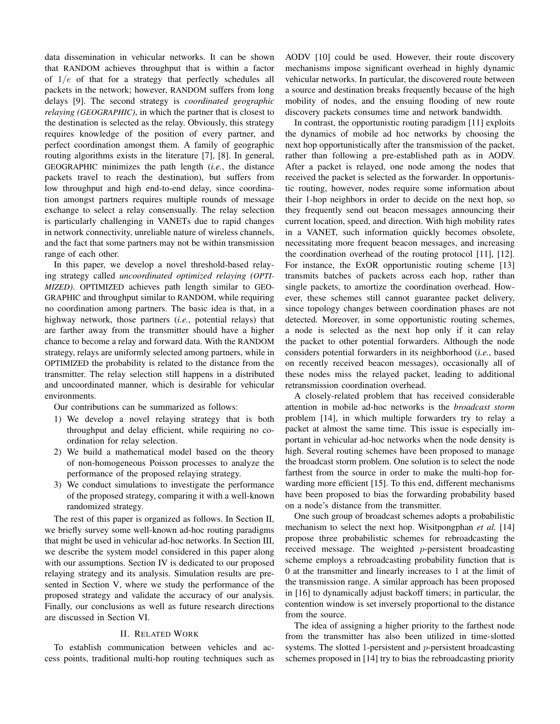data dissemination in vehicular networks. It can be shown that RANDOM achieves throughput that is within a factor of  $1/e$  of that for a strategy that perfectly schedules all packets in the network; however, RANDOM suffers from long delays [9]. The second strategy is *coordinated geographic relaying (GEOGRAPHIC)*, in which the partner that is closest to the destination is selected as the relay. Obviously, this strategy requires knowledge of the position of every partner, and perfect coordination amongst them. A family of geographic routing algorithms exists in the literature [7], [8]. In general, GEOGRAPHIC minimizes the path length (*i.e.*, the distance packets travel to reach the destination), but suffers from low throughput and high end-to-end delay, since coordination amongst partners requires multiple rounds of message exchange to select a relay consensually. The relay selection is particularly challenging in VANETs due to rapid changes in network connectivity, unreliable nature of wireless channels, and the fact that some partners may not be within transmission range of each other.

In this paper, we develop a novel threshold-based relaying strategy called *uncoordinated optimized relaying (OPTI-MIZED)*. OPTIMIZED achieves path length similar to GEO-GRAPHIC and throughput similar to RANDOM, while requiring no coordination among partners. The basic idea is that, in a highway network, those partners (*i.e.*, potential relays) that are farther away from the transmitter should have a higher chance to become a relay and forward data. With the RANDOM strategy, relays are uniformly selected among partners, while in OPTIMIZED the probability is related to the distance from the transmitter. The relay selection still happens in a distributed and uncoordinated manner, which is desirable for vehicular environments.

Our contributions can be summarized as follows:

- 1) We develop a novel relaying strategy that is both throughput and delay efficient, while requiring no coordination for relay selection.
- 2) We build a mathematical model based on the theory of non-homogeneous Poisson processes to analyze the performance of the proposed relaying strategy.
- 3) We conduct simulations to investigate the performance of the proposed strategy, comparing it with a well-known randomized strategy.

The rest of this paper is organized as follows. In Section II, we briefly survey some well-known ad-hoc routing paradigms that might be used in vehicular ad-hoc networks. In Section III, we describe the system model considered in this paper along with our assumptions. Section IV is dedicated to our proposed relaying strategy and its analysis. Simulation results are presented in Section V, where we study the performance of the proposed strategy and validate the accuracy of our analysis. Finally, our conclusions as well as future research directions are discussed in Section VI.

# II. RELATED WORK

To establish communication between vehicles and access points, traditional multi-hop routing techniques such as AODV [10] could be used. However, their route discovery mechanisms impose significant overhead in highly dynamic vehicular networks. In particular, the discovered route between a source and destination breaks frequently because of the high mobility of nodes, and the ensuing flooding of new route discovery packets consumes time and network bandwidth.

In contrast, the opportunistic routing paradigm [11] exploits the dynamics of mobile ad hoc networks by choosing the next hop opportunistically after the transmission of the packet, rather than following a pre-established path as in AODV. After a packet is relayed, one node among the nodes that received the packet is selected as the forwarder. In opportunistic routing, however, nodes require some information about their 1-hop neighbors in order to decide on the next hop, so they frequently send out beacon messages announcing their current location, speed, and direction. With high mobility rates in a VANET, such information quickly becomes obsolete, necessitating more frequent beacon messages, and increasing the coordination overhead of the routing protocol [11], [12]. For instance, the ExOR opportunistic routing scheme [13] transmits batches of packets across each hop, rather than single packets, to amortize the coordination overhead. However, these schemes still cannot guarantee packet delivery, since topology changes between coordination phases are not detected. Moreover, in some opportunistic routing schemes, a node is selected as the next hop only if it can relay the packet to other potential forwarders. Although the node considers potential forwarders in its neighborhood (*i.e.*, based on recently received beacon messages), occasionally all of these nodes miss the relayed packet, leading to additional retransmission coordination overhead.

A closely-related problem that has received considerable attention in mobile ad-hoc networks is the *broadcast storm* problem [14], in which multiple forwarders try to relay a packet at almost the same time. This issue is especially important in vehicular ad-hoc networks when the node density is high. Several routing schemes have been proposed to manage the broadcast storm problem. One solution is to select the node farthest from the source in order to make the multi-hop forwarding more efficient [15]. To this end, different mechanisms have been proposed to bias the forwarding probability based on a node's distance from the transmitter.

One such group of broadcast schemes adopts a probabilistic mechanism to select the next hop. Wisitpongphan *et al.* [14] propose three probabilistic schemes for rebroadcasting the received message. The weighted p-persistent broadcasting scheme employs a rebroadcasting probability function that is 0 at the transmitter and linearly increases to 1 at the limit of the transmission range. A similar approach has been proposed in [16] to dynamically adjust backoff timers; in particular, the contention window is set inversely proportional to the distance from the source.

The idea of assigning a higher priority to the farthest node from the transmitter has also been utilized in time-slotted systems. The slotted 1-persistent and p-persistent broadcasting schemes proposed in [14] try to bias the rebroadcasting priority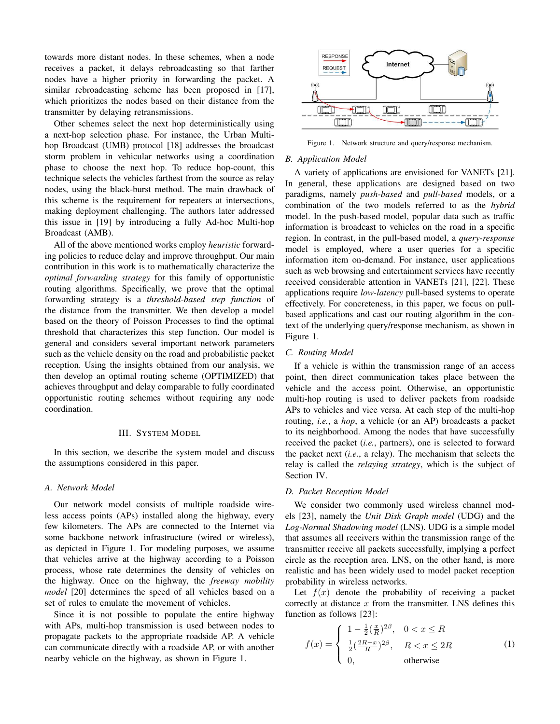towards more distant nodes. In these schemes, when a node receives a packet, it delays rebroadcasting so that farther nodes have a higher priority in forwarding the packet. A similar rebroadcasting scheme has been proposed in [17], which prioritizes the nodes based on their distance from the transmitter by delaying retransmissions.

Other schemes select the next hop deterministically using a next-hop selection phase. For instance, the Urban Multihop Broadcast (UMB) protocol [18] addresses the broadcast storm problem in vehicular networks using a coordination phase to choose the next hop. To reduce hop-count, this technique selects the vehicles farthest from the source as relay nodes, using the black-burst method. The main drawback of this scheme is the requirement for repeaters at intersections, making deployment challenging. The authors later addressed this issue in [19] by introducing a fully Ad-hoc Multi-hop Broadcast (AMB).

All of the above mentioned works employ *heuristic* forwarding policies to reduce delay and improve throughput. Our main contribution in this work is to mathematically characterize the *optimal forwarding strategy* for this family of opportunistic routing algorithms. Specifically, we prove that the optimal forwarding strategy is a *threshold-based step function* of the distance from the transmitter. We then develop a model based on the theory of Poisson Processes to find the optimal threshold that characterizes this step function. Our model is general and considers several important network parameters such as the vehicle density on the road and probabilistic packet reception. Using the insights obtained from our analysis, we then develop an optimal routing scheme (OPTIMIZED) that achieves throughput and delay comparable to fully coordinated opportunistic routing schemes without requiring any node coordination.

#### III. SYSTEM MODEL

In this section, we describe the system model and discuss the assumptions considered in this paper.

# *A. Network Model*

Our network model consists of multiple roadside wireless access points (APs) installed along the highway, every few kilometers. The APs are connected to the Internet via some backbone network infrastructure (wired or wireless), as depicted in Figure 1. For modeling purposes, we assume that vehicles arrive at the highway according to a Poisson process, whose rate determines the density of vehicles on the highway. Once on the highway, the *freeway mobility model* [20] determines the speed of all vehicles based on a set of rules to emulate the movement of vehicles.

Since it is not possible to populate the entire highway with APs, multi-hop transmission is used between nodes to propagate packets to the appropriate roadside AP. A vehicle can communicate directly with a roadside AP, or with another nearby vehicle on the highway, as shown in Figure 1.



Figure 1. Network structure and query/response mechanism.

# *B. Application Model*

A variety of applications are envisioned for VANETs [21]. In general, these applications are designed based on two paradigms, namely *push-based* and *pull-based* models, or a combination of the two models referred to as the *hybrid* model. In the push-based model, popular data such as traffic information is broadcast to vehicles on the road in a specific region. In contrast, in the pull-based model, a *query-response* model is employed, where a user queries for a specific information item on-demand. For instance, user applications such as web browsing and entertainment services have recently received considerable attention in VANETs [21], [22]. These applications require *low-latency* pull-based systems to operate effectively. For concreteness, in this paper, we focus on pullbased applications and cast our routing algorithm in the context of the underlying query/response mechanism, as shown in Figure 1.

#### *C. Routing Model*

If a vehicle is within the transmission range of an access point, then direct communication takes place between the vehicle and the access point. Otherwise, an opportunistic multi-hop routing is used to deliver packets from roadside APs to vehicles and vice versa. At each step of the multi-hop routing, *i.e.*, a *hop*, a vehicle (or an AP) broadcasts a packet to its neighborhood. Among the nodes that have successfully received the packet (*i.e.*, partners), one is selected to forward the packet next (*i.e.*, a relay). The mechanism that selects the relay is called the *relaying strategy*, which is the subject of Section IV.

# *D. Packet Reception Model*

We consider two commonly used wireless channel models [23], namely the *Unit Disk Graph model* (UDG) and the *Log-Normal Shadowing model* (LNS). UDG is a simple model that assumes all receivers within the transmission range of the transmitter receive all packets successfully, implying a perfect circle as the reception area. LNS, on the other hand, is more realistic and has been widely used to model packet reception probability in wireless networks.

Let  $f(x)$  denote the probability of receiving a packet correctly at distance  $x$  from the transmitter. LNS defines this function as follows [23]:

$$
f(x) = \begin{cases} 1 - \frac{1}{2} \left(\frac{x}{R}\right)^{2\beta}, & 0 < x \le R\\ \frac{1}{2} \left(\frac{2R - x}{R}\right)^{2\beta}, & R < x \le 2R\\ 0, & \text{otherwise} \end{cases}
$$
(1)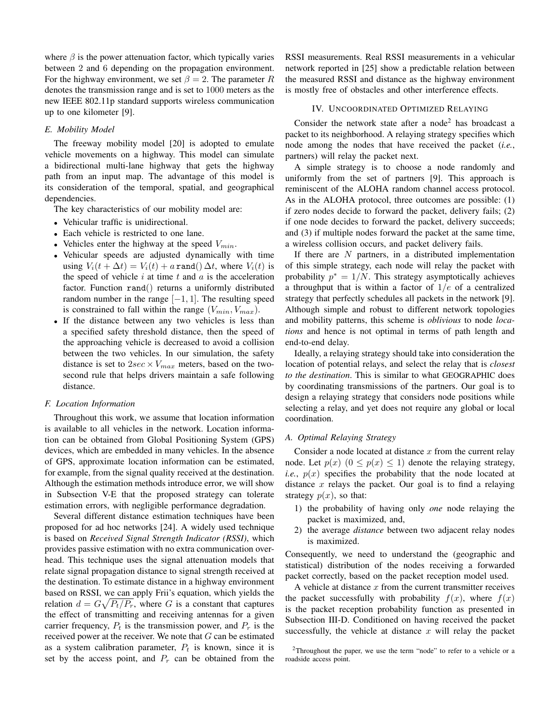where  $\beta$  is the power attenuation factor, which typically varies between 2 and 6 depending on the propagation environment. For the highway environment, we set  $\beta = 2$ . The parameter R denotes the transmission range and is set to 1000 meters as the new IEEE 802.11p standard supports wireless communication up to one kilometer [9].

# *E. Mobility Model*

The freeway mobility model [20] is adopted to emulate vehicle movements on a highway. This model can simulate a bidirectional multi-lane highway that gets the highway path from an input map. The advantage of this model is its consideration of the temporal, spatial, and geographical dependencies.

The key characteristics of our mobility model are:

- Vehicular traffic is unidirectional.
- Each vehicle is restricted to one lane.
- Vehicles enter the highway at the speed  $V_{min}$ .
- Vehicular speeds are adjusted dynamically with time using  $V_i(t + \Delta t) = V_i(t) + a \text{ rand}(\Delta t)$ , where  $V_i(t)$  is the speed of vehicle  $i$  at time  $t$  and  $a$  is the acceleration factor. Function rand() returns a uniformly distributed random number in the range  $[-1, 1]$ . The resulting speed is constrained to fall within the range  $(V_{min}, V_{max})$ .
- If the distance between any two vehicles is less than a specified safety threshold distance, then the speed of the approaching vehicle is decreased to avoid a collision between the two vehicles. In our simulation, the safety distance is set to  $2sec \times V_{max}$  meters, based on the twosecond rule that helps drivers maintain a safe following distance.

#### *F. Location Information*

Throughout this work, we assume that location information is available to all vehicles in the network. Location information can be obtained from Global Positioning System (GPS) devices, which are embedded in many vehicles. In the absence of GPS, approximate location information can be estimated, for example, from the signal quality received at the destination. Although the estimation methods introduce error, we will show in Subsection V-E that the proposed strategy can tolerate estimation errors, with negligible performance degradation.

Several different distance estimation techniques have been proposed for ad hoc networks [24]. A widely used technique is based on *Received Signal Strength Indicator (RSSI)*, which provides passive estimation with no extra communication overhead. This technique uses the signal attenuation models that relate signal propagation distance to signal strength received at the destination. To estimate distance in a highway environment based on RSSI, we can apply Frii's equation, which yields the relation  $d = G\sqrt{P_t/P_r}$ , where G is a constant that captures the effect of transmitting and receiving antennas for a given carrier frequency,  $P_t$  is the transmission power, and  $P_r$  is the received power at the receiver. We note that G can be estimated as a system calibration parameter,  $P_t$  is known, since it is set by the access point, and  $P_r$  can be obtained from the RSSI measurements. Real RSSI measurements in a vehicular network reported in [25] show a predictable relation between the measured RSSI and distance as the highway environment is mostly free of obstacles and other interference effects.

# IV. UNCOORDINATED OPTIMIZED RELAYING

Consider the network state after a node<sup>2</sup> has broadcast a packet to its neighborhood. A relaying strategy specifies which node among the nodes that have received the packet (*i.e.*, partners) will relay the packet next.

A simple strategy is to choose a node randomly and uniformly from the set of partners [9]. This approach is reminiscent of the ALOHA random channel access protocol. As in the ALOHA protocol, three outcomes are possible: (1) if zero nodes decide to forward the packet, delivery fails; (2) if one node decides to forward the packet, delivery succeeds; and (3) if multiple nodes forward the packet at the same time, a wireless collision occurs, and packet delivery fails.

If there are  $N$  partners, in a distributed implementation of this simple strategy, each node will relay the packet with probability  $p^* = 1/N$ . This strategy asymptotically achieves a throughput that is within a factor of  $1/e$  of a centralized strategy that perfectly schedules all packets in the network [9]. Although simple and robust to different network topologies and mobility patterns, this scheme is *oblivious* to node *locations* and hence is not optimal in terms of path length and end-to-end delay.

Ideally, a relaying strategy should take into consideration the location of potential relays, and select the relay that is *closest to the destination*. This is similar to what GEOGRAPHIC does by coordinating transmissions of the partners. Our goal is to design a relaying strategy that considers node positions while selecting a relay, and yet does not require any global or local coordination.

# *A. Optimal Relaying Strategy*

Consider a node located at distance  $x$  from the current relay node. Let  $p(x)$   $(0 \le p(x) \le 1)$  denote the relaying strategy, *i.e.*,  $p(x)$  specifies the probability that the node located at distance  $x$  relays the packet. Our goal is to find a relaying strategy  $p(x)$ , so that:

- 1) the probability of having only *one* node relaying the packet is maximized, and,
- 2) the average *distance* between two adjacent relay nodes is maximized.

Consequently, we need to understand the (geographic and statistical) distribution of the nodes receiving a forwarded packet correctly, based on the packet reception model used.

A vehicle at distance  $x$  from the current transmitter receives the packet successfully with probability  $f(x)$ , where  $f(x)$ is the packet reception probability function as presented in Subsection III-D. Conditioned on having received the packet successfully, the vehicle at distance  $x$  will relay the packet

<sup>2</sup>Throughout the paper, we use the term "node" to refer to a vehicle or a roadside access point.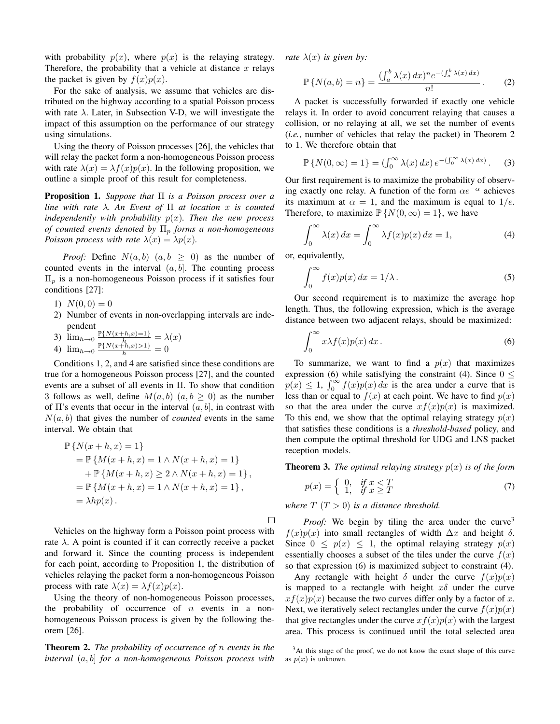with probability  $p(x)$ , where  $p(x)$  is the relaying strategy. Therefore, the probability that a vehicle at distance  $x$  relays the packet is given by  $f(x)p(x)$ .

For the sake of analysis, we assume that vehicles are distributed on the highway according to a spatial Poisson process with rate  $\lambda$ . Later, in Subsection V-D, we will investigate the impact of this assumption on the performance of our strategy using simulations.

Using the theory of Poisson processes [26], the vehicles that will relay the packet form a non-homogeneous Poisson process with rate  $\lambda(x) = \lambda f(x)p(x)$ . In the following proposition, we outline a simple proof of this result for completeness.

Proposition 1. *Suppose that* Π *is a Poisson process over a line with rate* λ*. An Event of* Π *at location* x *is counted independently with probability*  $p(x)$ *. Then the new process of counted events denoted by*  $\Pi_p$  *forms a non-homogeneous Poisson process with rate*  $\lambda(x) = \lambda p(x)$ *.* 

*Proof:* Define  $N(a, b)$   $(a, b \ge 0)$  as the number of counted events in the interval  $(a, b]$ . The counting process  $\Pi_p$  is a non-homogeneous Poisson process if it satisfies four conditions [27]:

1)  $N(0,0) = 0$ 

2) Number of events in non-overlapping intervals are independent<br> $\lim_{x \to \infty} \mathbb{P}\{N(x+h,x)=1\}$ 

3) 
$$
\lim_{h\to 0} \frac{\mathbb{P}\{N(x+h,x)=1\}}{h} = \lambda(x)
$$

4) 
$$
\lim_{h \to 0} \frac{\mathbb{P}\{N(x+h,x) > 1\}}{h} = 0
$$

Conditions 1, 2, and 4 are satisfied since these conditions are true for a homogeneous Poisson process [27], and the counted events are a subset of all events in Π. To show that condition 3 follows as well, define  $M(a, b)$   $(a, b \ge 0)$  as the number of  $\Pi$ 's events that occur in the interval  $(a, b]$ , in contrast with  $N(a, b)$  that gives the number of *counted* events in the same interval. We obtain that

$$
\mathbb{P}\{N(x+h,x) = 1\} \n= \mathbb{P}\{M(x+h,x) = 1 \land N(x+h,x) = 1\} \n+ \mathbb{P}\{M(x+h,x) \ge 2 \land N(x+h,x) = 1\}, \n= \mathbb{P}\{M(x+h,x) = 1 \land N(x+h,x) = 1\}, \n= \lambda hp(x).
$$

Vehicles on the highway form a Poisson point process with rate  $\lambda$ . A point is counted if it can correctly receive a packet and forward it. Since the counting process is independent for each point, according to Proposition 1, the distribution of vehicles relaying the packet form a non-homogeneous Poisson process with rate  $\lambda(x) = \lambda f(x)p(x)$ .

Using the theory of non-homogeneous Poisson processes, the probability of occurrence of  $n$  events in a nonhomogeneous Poisson process is given by the following theorem [26].

Theorem 2. *The probability of occurrence of* n *events in the interval* (a, b] *for a non-homogeneous Poisson process with* *rate*  $\lambda(x)$  *is given by:* 

$$
\mathbb{P}\left\{N(a,b)=n\right\} = \frac{\left(\int_a^b \lambda(x) \, dx\right)^n e^{-\left(\int_a^b \lambda(x) \, dx\right)}}{n!} \,. \tag{2}
$$

A packet is successfully forwarded if exactly one vehicle relays it. In order to avoid concurrent relaying that causes a collision, or no relaying at all, we set the number of events (*i.e.*, number of vehicles that relay the packet) in Theorem 2 to 1. We therefore obtain that

$$
\mathbb{P}\left\{N(0,\infty)=1\right\}=(\int_0^\infty \lambda(x)\,dx)\,e^{-(\int_0^\infty \lambda(x)\,dx)}.\tag{3}
$$

Our first requirement is to maximize the probability of observing exactly one relay. A function of the form  $\alpha e^{-\alpha}$  achieves its maximum at  $\alpha = 1$ , and the maximum is equal to  $1/e$ . Therefore, to maximize  $\mathbb{P}\{N(0,\infty)=1\}$ , we have

$$
\int_0^\infty \lambda(x) dx = \int_0^\infty \lambda f(x) p(x) dx = 1,
$$
 (4)

or, equivalently,

$$
\int_0^\infty f(x)p(x) \, dx = 1/\lambda \,. \tag{5}
$$

Our second requirement is to maximize the average hop length. Thus, the following expression, which is the average distance between two adjacent relays, should be maximized:

$$
\int_0^\infty x \lambda f(x) p(x) \, dx \,. \tag{6}
$$

To summarize, we want to find a  $p(x)$  that maximizes expression (6) while satisfying the constraint (4). Since  $0 \le$  $p(x) \leq 1$ ,  $\int_0^\infty f(x)p(x) dx$  is the area under a curve that is less than or equal to  $f(x)$  at each point. We have to find  $p(x)$ so that the area under the curve  $xf(x)p(x)$  is maximized. To this end, we show that the optimal relaying strategy  $p(x)$ that satisfies these conditions is a *threshold-based* policy, and then compute the optimal threshold for UDG and LNS packet reception models.

**Theorem 3.** *The optimal relaying strategy*  $p(x)$  *is of the form* 

$$
p(x) = \begin{cases} 0, & \text{if } x < T \\ 1, & \text{if } x \ge T \end{cases}
$$
 (7)

*where*  $T(T>0)$  *is a distance threshold.* 

 $\Box$ 

*Proof:* We begin by tiling the area under the curve<sup>3</sup>  $f(x)p(x)$  into small rectangles of width  $\Delta x$  and height  $\delta$ . Since  $0 \leq p(x) \leq 1$ , the optimal relaying strategy  $p(x)$ essentially chooses a subset of the tiles under the curve  $f(x)$ so that expression (6) is maximized subject to constraint (4).

Any rectangle with height  $\delta$  under the curve  $f(x)p(x)$ is mapped to a rectangle with height  $x\delta$  under the curve  $xf(x)p(x)$  because the two curves differ only by a factor of x. Next, we iteratively select rectangles under the curve  $f(x)p(x)$ that give rectangles under the curve  $xf(x)p(x)$  with the largest area. This process is continued until the total selected area

<sup>3</sup>At this stage of the proof, we do not know the exact shape of this curve as  $p(x)$  is unknown.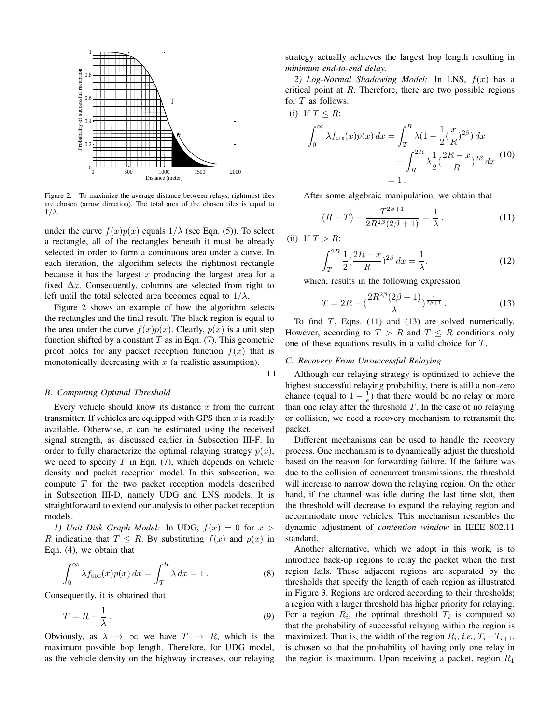

Figure 2. To maximize the average distance between relays, rightmost tiles are chosen (arrow direction). The total area of the chosen tiles is equal to  $1/\lambda$ .

under the curve  $f(x)p(x)$  equals  $1/\lambda$  (see Eqn. (5)). To select a rectangle, all of the rectangles beneath it must be already selected in order to form a continuous area under a curve. In each iteration, the algorithm selects the rightmost rectangle because it has the largest x producing the largest area for a fixed  $\Delta x$ . Consequently, columns are selected from right to left until the total selected area becomes equal to  $1/\lambda$ .

Figure 2 shows an example of how the algorithm selects the rectangles and the final result. The black region is equal to the area under the curve  $f(x)p(x)$ . Clearly,  $p(x)$  is a unit step function shifted by a constant  $T$  as in Eqn. (7). This geometric proof holds for any packet reception function  $f(x)$  that is monotonically decreasing with  $x$  (a realistic assumption).

#### *B. Computing Optimal Threshold*

Every vehicle should know its distance  $x$  from the current transmitter. If vehicles are equipped with GPS then  $x$  is readily available. Otherwise,  $x$  can be estimated using the received signal strength, as discussed earlier in Subsection III-F. In order to fully characterize the optimal relaying strategy  $p(x)$ , we need to specify  $T$  in Eqn. (7), which depends on vehicle density and packet reception model. In this subsection, we compute  $T$  for the two packet reception models described in Subsection III-D, namely UDG and LNS models. It is straightforward to extend our analysis to other packet reception models.

*1) Unit Disk Graph Model:* In UDG,  $f(x) = 0$  for  $x >$ R indicating that  $T \leq R$ . By substituting  $f(x)$  and  $p(x)$  in Eqn. (4), we obtain that

$$
\int_0^\infty \lambda f_{\text{UDG}}(x) p(x) \, dx = \int_T^R \lambda \, dx = 1. \tag{8}
$$

Consequently, it is obtained that

$$
T = R - \frac{1}{\lambda} \,. \tag{9}
$$

Obviously, as  $\lambda \to \infty$  we have  $T \to R$ , which is the maximum possible hop length. Therefore, for UDG model, as the vehicle density on the highway increases, our relaying strategy actually achieves the largest hop length resulting in *minimum end-to-end delay*.

*2) Log-Normal Shadowing Model:* In LNS, f(x) has a critical point at  $R$ . Therefore, there are two possible regions for T as follows.

(i) If 
$$
T \leq R
$$
:

$$
\int_0^\infty \lambda f_{LNS}(x) p(x) dx = \int_T^R \lambda (1 - \frac{1}{2} (\frac{x}{R})^{2\beta}) dx + \int_R^{2R} \lambda \frac{1}{2} (\frac{2R - x}{R})^{2\beta} dx
$$
(10)  
= 1.

After some algebraic manipulation, we obtain that

$$
(R - T) - \frac{T^{2\beta + 1}}{2R^{2\beta}(2\beta + 1)} = \frac{1}{\lambda}.
$$
 (11)

(ii) If  $T > R$ :

 $\Box$ 

$$
\int_{T}^{2R} \frac{1}{2} \left(\frac{2R - x}{R}\right)^{2\beta} dx = \frac{1}{\lambda},\tag{12}
$$

which, results in the following expression

$$
T = 2R - \left(\frac{2R^{2\beta}(2\beta + 1)}{\lambda}\right)^{\frac{1}{2\beta + 1}}.
$$
 (13)

To find  $T$ , Eqns. (11) and (13) are solved numerically. However, according to  $T > R$  and  $T \leq R$  conditions only one of these equations results in a valid choice for T.

#### *C. Recovery From Unsuccessful Relaying*

Although our relaying strategy is optimized to achieve the highest successful relaying probability, there is still a non-zero chance (equal to  $1 - \frac{1}{e}$ ) that there would be no relay or more than one relay after the threshold  $T$ . In the case of no relaying or collision, we need a recovery mechanism to retransmit the packet.

Different mechanisms can be used to handle the recovery process. One mechanism is to dynamically adjust the threshold based on the reason for forwarding failure. If the failure was due to the collision of concurrent transmissions, the threshold will increase to narrow down the relaying region. On the other hand, if the channel was idle during the last time slot, then the threshold will decrease to expand the relaying region and accommodate more vehicles. This mechanism resembles the dynamic adjustment of *contention window* in IEEE 802.11 standard.

Another alternative, which we adopt in this work, is to introduce back-up regions to relay the packet when the first region fails. These adjacent regions are separated by the thresholds that specify the length of each region as illustrated in Figure 3. Regions are ordered according to their thresholds; a region with a larger threshold has higher priority for relaying. For a region  $R_i$ , the optimal threshold  $T_i$  is computed so that the probability of successful relaying within the region is maximized. That is, the width of the region  $R_i$ , *i.e.*,  $T_i - T_{i+1}$ , is chosen so that the probability of having only one relay in the region is maximum. Upon receiving a packet, region  $R_1$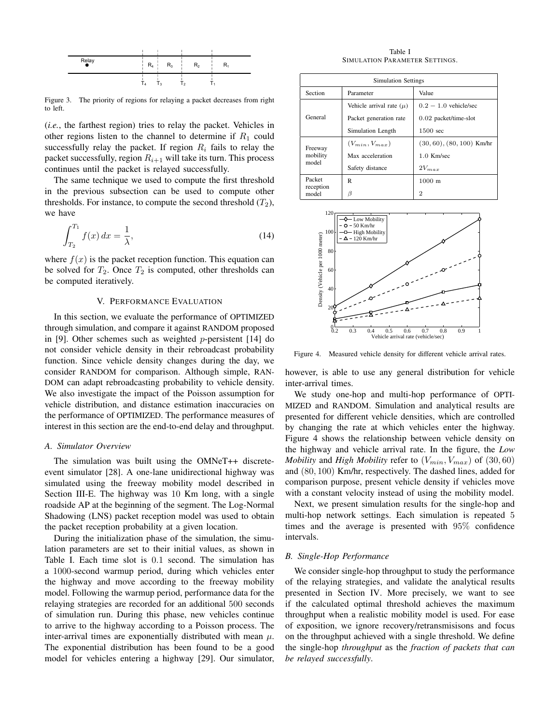

Figure 3. The priority of regions for relaying a packet decreases from right to left.

(*i.e.*, the farthest region) tries to relay the packet. Vehicles in other regions listen to the channel to determine if  $R_1$  could successfully relay the packet. If region  $R_i$  fails to relay the packet successfully, region  $R_{i+1}$  will take its turn. This process continues until the packet is relayed successfully.

The same technique we used to compute the first threshold in the previous subsection can be used to compute other thresholds. For instance, to compute the second threshold  $(T_2)$ , we have

$$
\int_{T_2}^{T_1} f(x) \, dx = \frac{1}{\lambda},\tag{14}
$$

where  $f(x)$  is the packet reception function. This equation can be solved for  $T_2$ . Once  $T_2$  is computed, other thresholds can be computed iteratively.

# V. PERFORMANCE EVALUATION

In this section, we evaluate the performance of OPTIMIZED through simulation, and compare it against RANDOM proposed in [9]. Other schemes such as weighted p-persistent [14] do not consider vehicle density in their rebroadcast probability function. Since vehicle density changes during the day, we consider RANDOM for comparison. Although simple, RAN-DOM can adapt rebroadcasting probability to vehicle density. We also investigate the impact of the Poisson assumption for vehicle distribution, and distance estimation inaccuracies on the performance of OPTIMIZED. The performance measures of interest in this section are the end-to-end delay and throughput.

#### *A. Simulator Overview*

The simulation was built using the OMNeT++ discreteevent simulator [28]. A one-lane unidirectional highway was simulated using the freeway mobility model described in Section III-E. The highway was 10 Km long, with a single roadside AP at the beginning of the segment. The Log-Normal Shadowing (LNS) packet reception model was used to obtain the packet reception probability at a given location.

During the initialization phase of the simulation, the simulation parameters are set to their initial values, as shown in Table I. Each time slot is 0.1 second. The simulation has a 1000-second warmup period, during which vehicles enter the highway and move according to the freeway mobility model. Following the warmup period, performance data for the relaying strategies are recorded for an additional 500 seconds of simulation run. During this phase, new vehicles continue to arrive to the highway according to a Poisson process. The inter-arrival times are exponentially distributed with mean  $\mu$ . The exponential distribution has been found to be a good model for vehicles entering a highway [29]. Our simulator,

Table I SIMULATION PARAMETER SETTINGS.

| Simulation Settings          |                              |                             |
|------------------------------|------------------------------|-----------------------------|
| Section                      | Parameter                    | Value                       |
| General                      | Vehicle arrival rate $(\mu)$ | $0.2 - 1.0$ vehicle/sec     |
|                              | Packet generation rate       | 0.02 packet/time-slot       |
|                              | Simulation Length            | 1500 sec                    |
| Freeway<br>mobility<br>model | $(V_{min}, V_{max})$         | $(30, 60), (80, 100)$ Km/hr |
|                              | Max acceleration             | $1.0$ Km/sec                |
|                              | Safety distance              | $2V_{max}$                  |
| Packet<br>reception<br>model | R                            | $1000 \text{ m}$            |
|                              | β                            | 2                           |



Figure 4. Measured vehicle density for different vehicle arrival rates.

however, is able to use any general distribution for vehicle inter-arrival times.

We study one-hop and multi-hop performance of OPTI-MIZED and RANDOM. Simulation and analytical results are presented for different vehicle densities, which are controlled by changing the rate at which vehicles enter the highway. Figure 4 shows the relationship between vehicle density on the highway and vehicle arrival rate. In the figure, the *Low Mobility* and *High Mobility* refer to  $(V_{min}, V_{max})$  of  $(30, 60)$ and (80, 100) Km/hr, respectively. The dashed lines, added for comparison purpose, present vehicle density if vehicles move with a constant velocity instead of using the mobility model.

Next, we present simulation results for the single-hop and multi-hop network settings. Each simulation is repeated 5 times and the average is presented with 95% confidence intervals.

#### *B. Single-Hop Performance*

We consider single-hop throughput to study the performance of the relaying strategies, and validate the analytical results presented in Section IV. More precisely, we want to see if the calculated optimal threshold achieves the maximum throughput when a realistic mobility model is used. For ease of exposition, we ignore recovery/retransmisisons and focus on the throughput achieved with a single threshold. We define the single-hop *throughput* as the *fraction of packets that can be relayed successfully*.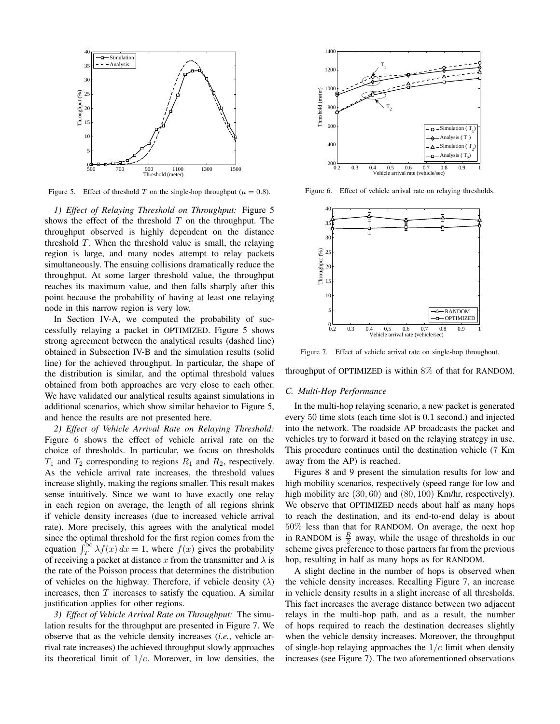

Figure 5. Effect of threshold T on the single-hop throughput ( $\mu = 0.8$ ).

*1) Effect of Relaying Threshold on Throughput:* Figure 5 shows the effect of the threshold  $T$  on the throughput. The throughput observed is highly dependent on the distance threshold  $T$ . When the threshold value is small, the relaying region is large, and many nodes attempt to relay packets simultaneously. The ensuing collisions dramatically reduce the throughput. At some larger threshold value, the throughput reaches its maximum value, and then falls sharply after this point because the probability of having at least one relaying node in this narrow region is very low.

In Section IV-A, we computed the probability of successfully relaying a packet in OPTIMIZED. Figure 5 shows strong agreement between the analytical results (dashed line) obtained in Subsection IV-B and the simulation results (solid line) for the achieved throughput. In particular, the shape of the distribution is similar, and the optimal threshold values obtained from both approaches are very close to each other. We have validated our analytical results against simulations in additional scenarios, which show similar behavior to Figure 5, and hence the results are not presented here.

*2) Effect of Vehicle Arrival Rate on Relaying Threshold:* Figure 6 shows the effect of vehicle arrival rate on the choice of thresholds. In particular, we focus on thresholds  $T_1$  and  $T_2$  corresponding to regions  $R_1$  and  $R_2$ , respectively. As the vehicle arrival rate increases, the threshold values increase slightly, making the regions smaller. This result makes sense intuitively. Since we want to have exactly one relay in each region on average, the length of all regions shrink if vehicle density increases (due to increased vehicle arrival rate). More precisely, this agrees with the analytical model since the optimal threshold for the first region comes from the equation  $\int_T^{\infty} \lambda f(x) dx = 1$ , where  $f(x)$  gives the probability of receiving a packet at distance x from the transmitter and  $\lambda$  is the rate of the Poisson process that determines the distribution of vehicles on the highway. Therefore, if vehicle density  $(\lambda)$ increases, then  $T$  increases to satisfy the equation. A similar justification applies for other regions.

*3) Effect of Vehicle Arrival Rate on Throughput:* The simulation results for the throughput are presented in Figure 7. We observe that as the vehicle density increases (*i.e.*, vehicle arrival rate increases) the achieved throughput slowly approaches its theoretical limit of  $1/e$ . Moreover, in low densities, the



Figure 6. Effect of vehicle arrival rate on relaying thresholds.



Figure 7. Effect of vehicle arrival rate on single-hop throughout.

throughput of OPTIMIZED is within 8% of that for RANDOM.

#### *C. Multi-Hop Performance*

In the multi-hop relaying scenario, a new packet is generated every 50 time slots (each time slot is 0.1 second.) and injected into the network. The roadside AP broadcasts the packet and vehicles try to forward it based on the relaying strategy in use. This procedure continues until the destination vehicle (7 Km away from the AP) is reached.

Figures 8 and 9 present the simulation results for low and high mobility scenarios, respectively (speed range for low and high mobility are  $(30, 60)$  and  $(80, 100)$  Km/hr, respectively). We observe that OPTIMIZED needs about half as many hops to reach the destination, and its end-to-end delay is about 50% less than that for RANDOM. On average, the next hop in RANDOM is  $\frac{R}{2}$  away, while the usage of thresholds in our scheme gives preference to those partners far from the previous hop, resulting in half as many hops as for RANDOM.

A slight decline in the number of hops is observed when the vehicle density increases. Recalling Figure 7, an increase in vehicle density results in a slight increase of all thresholds. This fact increases the average distance between two adjacent relays in the multi-hop path, and as a result, the number of hops required to reach the destination decreases slightly when the vehicle density increases. Moreover, the throughput of single-hop relaying approaches the  $1/e$  limit when density increases (see Figure 7). The two aforementioned observations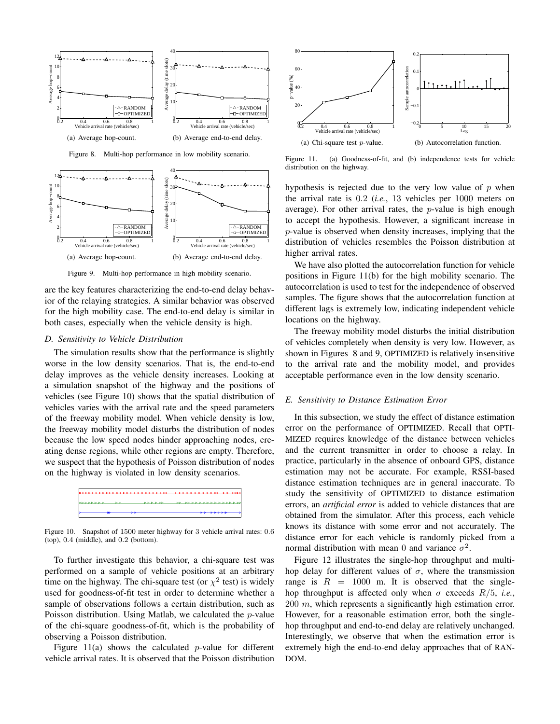

Figure 8. Multi-hop performance in low mobility scenario.



Figure 9. Multi-hop performance in high mobility scenario.

are the key features characterizing the end-to-end delay behavior of the relaying strategies. A similar behavior was observed for the high mobility case. The end-to-end delay is similar in both cases, especially when the vehicle density is high.

#### *D. Sensitivity to Vehicle Distribution*

The simulation results show that the performance is slightly worse in the low density scenarios. That is, the end-to-end delay improves as the vehicle density increases. Looking at a simulation snapshot of the highway and the positions of vehicles (see Figure 10) shows that the spatial distribution of vehicles varies with the arrival rate and the speed parameters of the freeway mobility model. When vehicle density is low, the freeway mobility model disturbs the distribution of nodes because the low speed nodes hinder approaching nodes, creating dense regions, while other regions are empty. Therefore, we suspect that the hypothesis of Poisson distribution of nodes on the highway is violated in low density scenarios.



Figure 10. Snapshot of 1500 meter highway for 3 vehicle arrival rates: 0.6 (top), 0.4 (middle), and 0.2 (bottom).

To further investigate this behavior, a chi-square test was performed on a sample of vehicle positions at an arbitrary time on the highway. The chi-square test (or  $\chi^2$  test) is widely used for goodness-of-fit test in order to determine whether a sample of observations follows a certain distribution, such as Poisson distribution. Using Matlab, we calculated the p-value of the chi-square goodness-of-fit, which is the probability of observing a Poisson distribution.

Figure  $11(a)$  shows the calculated *p*-value for different vehicle arrival rates. It is observed that the Poisson distribution



Figure 11. (a) Goodness-of-fit, and (b) independence tests for vehicle distribution on the highway.

hypothesis is rejected due to the very low value of  $p$  when the arrival rate is 0.2 (*i.e.*, 13 vehicles per 1000 meters on average). For other arrival rates, the  $p$ -value is high enough to accept the hypothesis. However, a significant increase in p-value is observed when density increases, implying that the distribution of vehicles resembles the Poisson distribution at higher arrival rates.

We have also plotted the autocorrelation function for vehicle positions in Figure 11(b) for the high mobility scenario. The autocorrelation is used to test for the independence of observed samples. The figure shows that the autocorrelation function at different lags is extremely low, indicating independent vehicle locations on the highway.

The freeway mobility model disturbs the initial distribution of vehicles completely when density is very low. However, as shown in Figures 8 and 9, OPTIMIZED is relatively insensitive to the arrival rate and the mobility model, and provides acceptable performance even in the low density scenario.

#### *E. Sensitivity to Distance Estimation Error*

In this subsection, we study the effect of distance estimation error on the performance of OPTIMIZED. Recall that OPTI-MIZED requires knowledge of the distance between vehicles and the current transmitter in order to choose a relay. In practice, particularly in the absence of onboard GPS, distance estimation may not be accurate. For example, RSSI-based distance estimation techniques are in general inaccurate. To study the sensitivity of OPTIMIZED to distance estimation errors, an *artificial error* is added to vehicle distances that are obtained from the simulator. After this process, each vehicle knows its distance with some error and not accurately. The distance error for each vehicle is randomly picked from a normal distribution with mean 0 and variance  $\sigma^2$ .

Figure 12 illustrates the single-hop throughput and multihop delay for different values of  $\sigma$ , where the transmission range is  $R = 1000$  m. It is observed that the singlehop throughput is affected only when  $\sigma$  exceeds  $R/5$ , *i.e.*, 200 m, which represents a significantly high estimation error. However, for a reasonable estimation error, both the singlehop throughput and end-to-end delay are relatively unchanged. Interestingly, we observe that when the estimation error is extremely high the end-to-end delay approaches that of RAN-DOM.